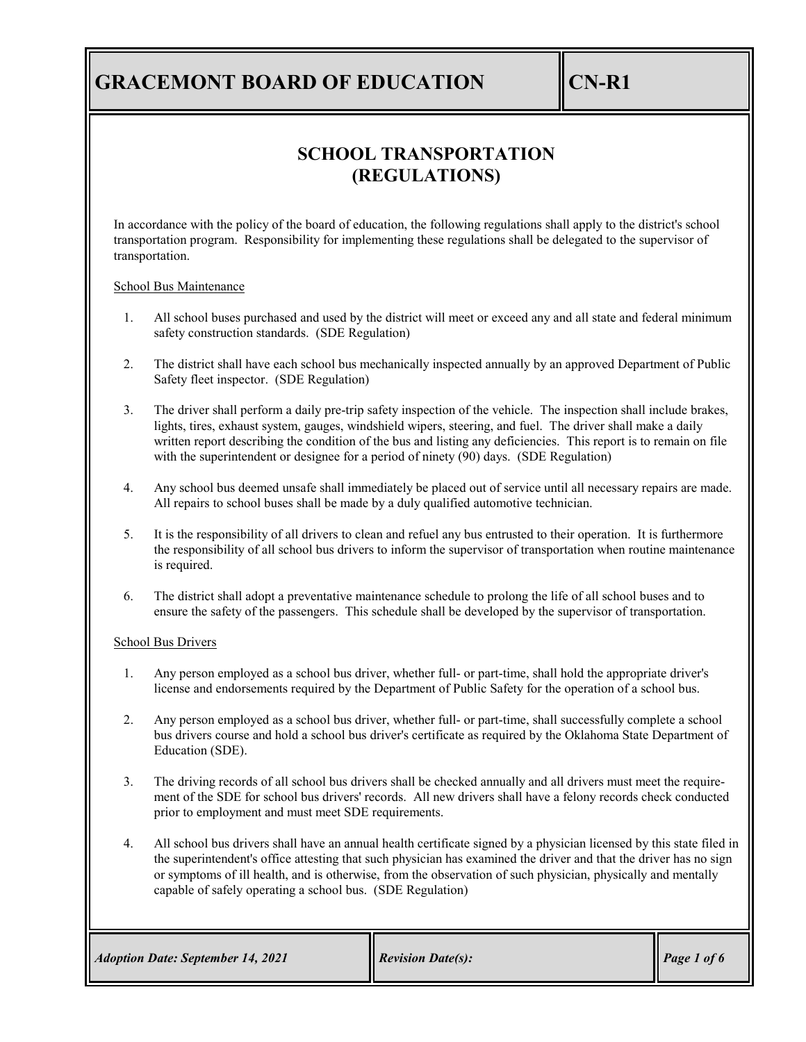## **SCHOOL TRANSPORTATION (REGULATIONS)**

In accordance with the policy of the board of education, the following regulations shall apply to the district's school transportation program. Responsibility for implementing these regulations shall be delegated to the supervisor of transportation.

School Bus Maintenance

- 1. All school buses purchased and used by the district will meet or exceed any and all state and federal minimum safety construction standards. (SDE Regulation)
- 2. The district shall have each school bus mechanically inspected annually by an approved Department of Public Safety fleet inspector. (SDE Regulation)
- 3. The driver shall perform a daily pre-trip safety inspection of the vehicle. The inspection shall include brakes, lights, tires, exhaust system, gauges, windshield wipers, steering, and fuel. The driver shall make a daily written report describing the condition of the bus and listing any deficiencies. This report is to remain on file with the superintendent or designee for a period of ninety (90) days. (SDE Regulation)
- 4. Any school bus deemed unsafe shall immediately be placed out of service until all necessary repairs are made. All repairs to school buses shall be made by a duly qualified automotive technician.
- 5. It is the responsibility of all drivers to clean and refuel any bus entrusted to their operation. It is furthermore the responsibility of all school bus drivers to inform the supervisor of transportation when routine maintenance is required.
- 6. The district shall adopt a preventative maintenance schedule to prolong the life of all school buses and to ensure the safety of the passengers. This schedule shall be developed by the supervisor of transportation.

### School Bus Drivers

- 1. Any person employed as a school bus driver, whether full- or part-time, shall hold the appropriate driver's license and endorsements required by the Department of Public Safety for the operation of a school bus.
- 2. Any person employed as a school bus driver, whether full- or part-time, shall successfully complete a school bus drivers course and hold a school bus driver's certificate as required by the Oklahoma State Department of Education (SDE).
- 3. The driving records of all school bus drivers shall be checked annually and all drivers must meet the requirement of the SDE for school bus drivers' records. All new drivers shall have a felony records check conducted prior to employment and must meet SDE requirements.
- 4. All school bus drivers shall have an annual health certificate signed by a physician licensed by this state filed in the superintendent's office attesting that such physician has examined the driver and that the driver has no sign or symptoms of ill health, and is otherwise, from the observation of such physician, physically and mentally capable of safely operating a school bus. (SDE Regulation)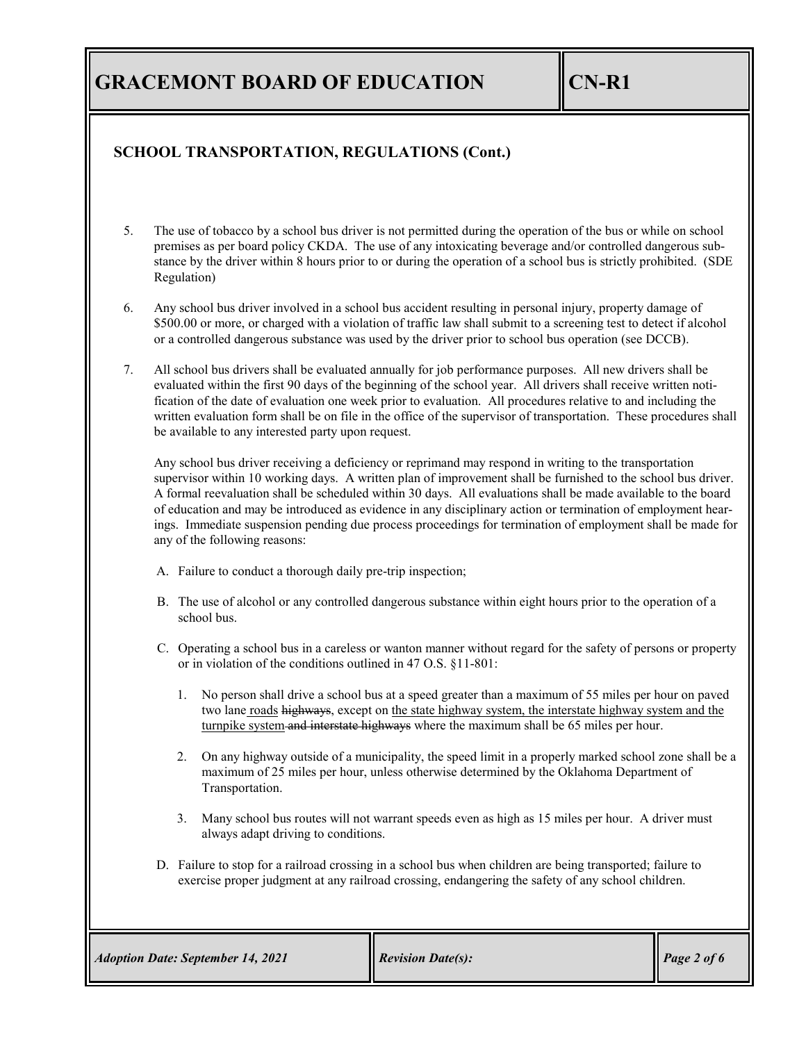## **SCHOOL TRANSPORTATION, REGULATIONS (Cont.)**

- 5. The use of tobacco by a school bus driver is not permitted during the operation of the bus or while on school premises as per board policy CKDA. The use of any intoxicating beverage and/or controlled dangerous substance by the driver within 8 hours prior to or during the operation of a school bus is strictly prohibited. (SDE Regulation)
- 6. Any school bus driver involved in a school bus accident resulting in personal injury, property damage of \$500.00 or more, or charged with a violation of traffic law shall submit to a screening test to detect if alcohol or a controlled dangerous substance was used by the driver prior to school bus operation (see DCCB).
- 7. All school bus drivers shall be evaluated annually for job performance purposes. All new drivers shall be evaluated within the first 90 days of the beginning of the school year. All drivers shall receive written notification of the date of evaluation one week prior to evaluation. All procedures relative to and including the written evaluation form shall be on file in the office of the supervisor of transportation. These procedures shall be available to any interested party upon request.

Any school bus driver receiving a deficiency or reprimand may respond in writing to the transportation supervisor within 10 working days. A written plan of improvement shall be furnished to the school bus driver. A formal reevaluation shall be scheduled within 30 days. All evaluations shall be made available to the board of education and may be introduced as evidence in any disciplinary action or termination of employment hearings. Immediate suspension pending due process proceedings for termination of employment shall be made for any of the following reasons:

- A. Failure to conduct a thorough daily pre-trip inspection;
- B. The use of alcohol or any controlled dangerous substance within eight hours prior to the operation of a school bus.
- C. Operating a school bus in a careless or wanton manner without regard for the safety of persons or property or in violation of the conditions outlined in 47 O.S. §11-801:
	- 1. No person shall drive a school bus at a speed greater than a maximum of 55 miles per hour on paved two lane roads highways, except on the state highway system, the interstate highway system and the turnpike system and interstate highways where the maximum shall be 65 miles per hour.
	- 2. On any highway outside of a municipality, the speed limit in a properly marked school zone shall be a maximum of 25 miles per hour, unless otherwise determined by the Oklahoma Department of Transportation.
	- 3. Many school bus routes will not warrant speeds even as high as 15 miles per hour. A driver must always adapt driving to conditions.
- D. Failure to stop for a railroad crossing in a school bus when children are being transported; failure to exercise proper judgment at any railroad crossing, endangering the safety of any school children.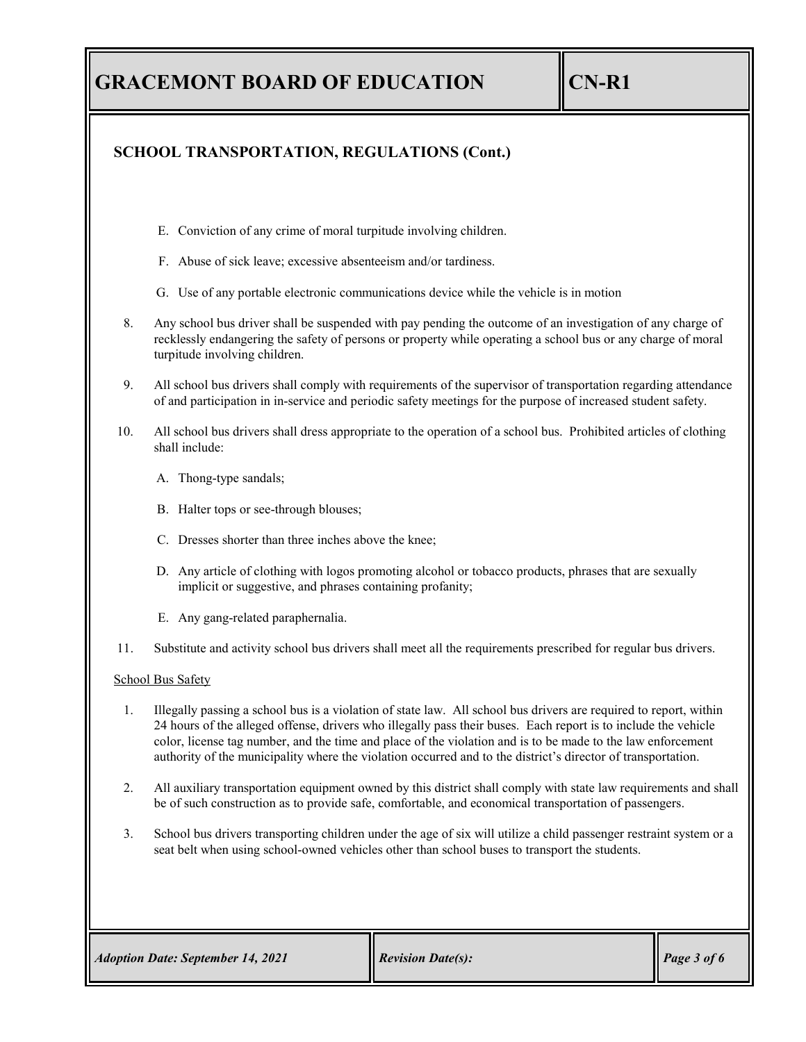## **SCHOOL TRANSPORTATION, REGULATIONS (Cont.)**

- E. Conviction of any crime of moral turpitude involving children.
- F. Abuse of sick leave; excessive absenteeism and/or tardiness.
- G. Use of any portable electronic communications device while the vehicle is in motion
- 8. Any school bus driver shall be suspended with pay pending the outcome of an investigation of any charge of recklessly endangering the safety of persons or property while operating a school bus or any charge of moral turpitude involving children.
- 9. All school bus drivers shall comply with requirements of the supervisor of transportation regarding attendance of and participation in in-service and periodic safety meetings for the purpose of increased student safety.
- 10. All school bus drivers shall dress appropriate to the operation of a school bus. Prohibited articles of clothing shall include:
	- A. Thong-type sandals;
	- B. Halter tops or see-through blouses;
	- C. Dresses shorter than three inches above the knee;
	- D. Any article of clothing with logos promoting alcohol or tobacco products, phrases that are sexually implicit or suggestive, and phrases containing profanity;
	- E. Any gang-related paraphernalia.
- 11. Substitute and activity school bus drivers shall meet all the requirements prescribed for regular bus drivers.

### School Bus Safety

- 1. Illegally passing a school bus is a violation of state law. All school bus drivers are required to report, within 24 hours of the alleged offense, drivers who illegally pass their buses. Each report is to include the vehicle color, license tag number, and the time and place of the violation and is to be made to the law enforcement authority of the municipality where the violation occurred and to the district's director of transportation.
- 2. All auxiliary transportation equipment owned by this district shall comply with state law requirements and shall be of such construction as to provide safe, comfortable, and economical transportation of passengers.
- 3. School bus drivers transporting children under the age of six will utilize a child passenger restraint system or a seat belt when using school-owned vehicles other than school buses to transport the students.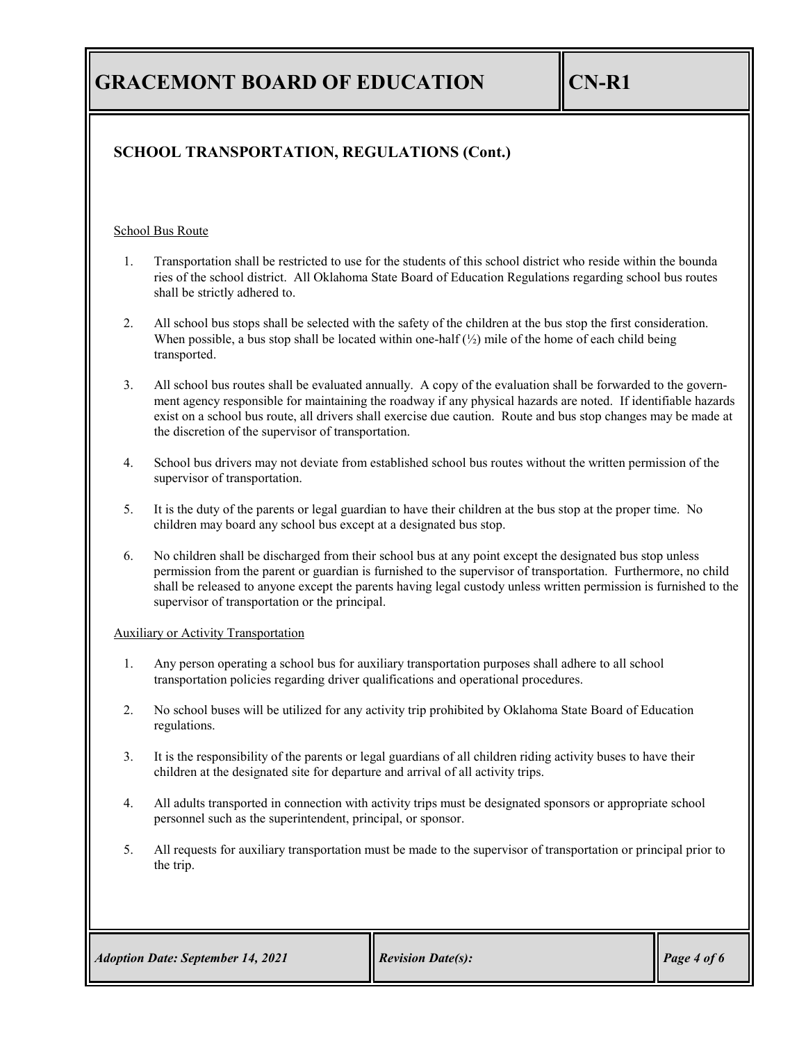## **SCHOOL TRANSPORTATION, REGULATIONS (Cont.)**

#### School Bus Route

- 1. Transportation shall be restricted to use for the students of this school district who reside within the bounda ries of the school district. All Oklahoma State Board of Education Regulations regarding school bus routes shall be strictly adhered to.
- 2. All school bus stops shall be selected with the safety of the children at the bus stop the first consideration. When possible, a bus stop shall be located within one-half  $(\frac{1}{2})$  mile of the home of each child being transported.
- 3. All school bus routes shall be evaluated annually. A copy of the evaluation shall be forwarded to the government agency responsible for maintaining the roadway if any physical hazards are noted. If identifiable hazards exist on a school bus route, all drivers shall exercise due caution. Route and bus stop changes may be made at the discretion of the supervisor of transportation.
- 4. School bus drivers may not deviate from established school bus routes without the written permission of the supervisor of transportation.
- 5. It is the duty of the parents or legal guardian to have their children at the bus stop at the proper time. No children may board any school bus except at a designated bus stop.
- 6. No children shall be discharged from their school bus at any point except the designated bus stop unless permission from the parent or guardian is furnished to the supervisor of transportation. Furthermore, no child shall be released to anyone except the parents having legal custody unless written permission is furnished to the supervisor of transportation or the principal.

#### Auxiliary or Activity Transportation

- 1. Any person operating a school bus for auxiliary transportation purposes shall adhere to all school transportation policies regarding driver qualifications and operational procedures.
- 2. No school buses will be utilized for any activity trip prohibited by Oklahoma State Board of Education regulations.
- 3. It is the responsibility of the parents or legal guardians of all children riding activity buses to have their children at the designated site for departure and arrival of all activity trips.
- 4. All adults transported in connection with activity trips must be designated sponsors or appropriate school personnel such as the superintendent, principal, or sponsor.
- 5. All requests for auxiliary transportation must be made to the supervisor of transportation or principal prior to the trip.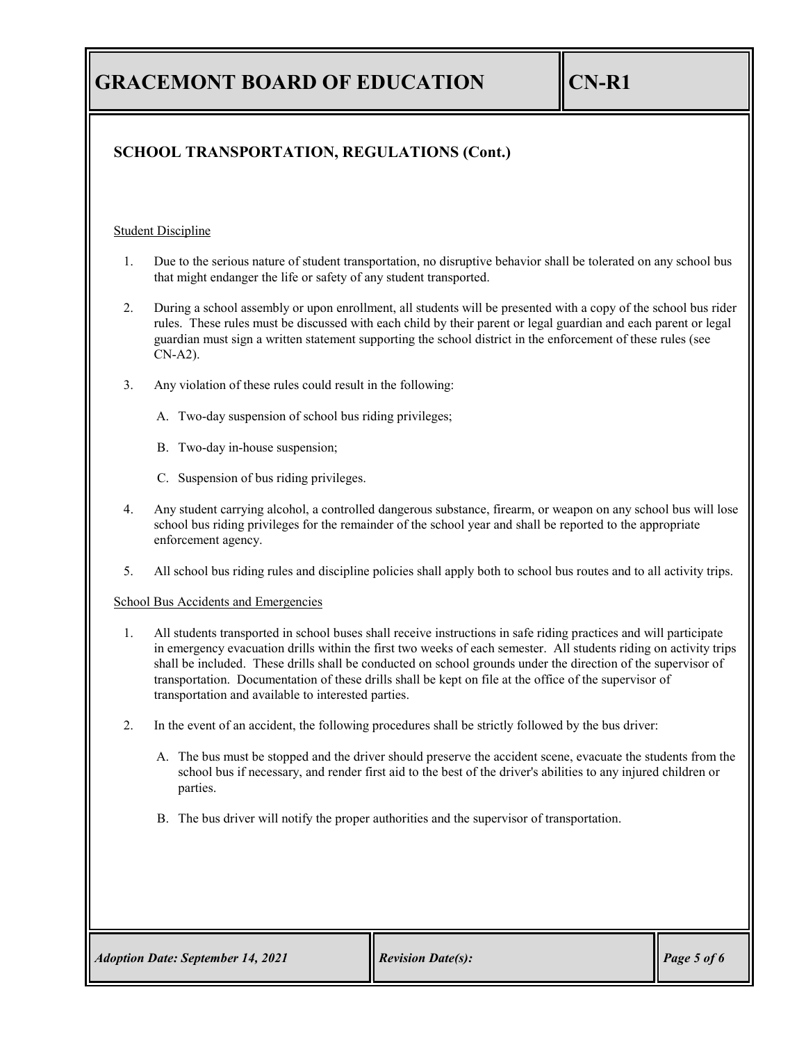## **SCHOOL TRANSPORTATION, REGULATIONS (Cont.)**

### Student Discipline

- 1. Due to the serious nature of student transportation, no disruptive behavior shall be tolerated on any school bus that might endanger the life or safety of any student transported.
- 2. During a school assembly or upon enrollment, all students will be presented with a copy of the school bus rider rules. These rules must be discussed with each child by their parent or legal guardian and each parent or legal guardian must sign a written statement supporting the school district in the enforcement of these rules (see CN-A2).
- 3. Any violation of these rules could result in the following:
	- A. Two-day suspension of school bus riding privileges;
	- B. Two-day in-house suspension;
	- C. Suspension of bus riding privileges.
- 4. Any student carrying alcohol, a controlled dangerous substance, firearm, or weapon on any school bus will lose school bus riding privileges for the remainder of the school year and shall be reported to the appropriate enforcement agency.
- 5. All school bus riding rules and discipline policies shall apply both to school bus routes and to all activity trips.

### School Bus Accidents and Emergencies

- 1. All students transported in school buses shall receive instructions in safe riding practices and will participate in emergency evacuation drills within the first two weeks of each semester. All students riding on activity trips shall be included. These drills shall be conducted on school grounds under the direction of the supervisor of transportation. Documentation of these drills shall be kept on file at the office of the supervisor of transportation and available to interested parties.
- 2. In the event of an accident, the following procedures shall be strictly followed by the bus driver:
	- A. The bus must be stopped and the driver should preserve the accident scene, evacuate the students from the school bus if necessary, and render first aid to the best of the driver's abilities to any injured children or parties.
	- B. The bus driver will notify the proper authorities and the supervisor of transportation.